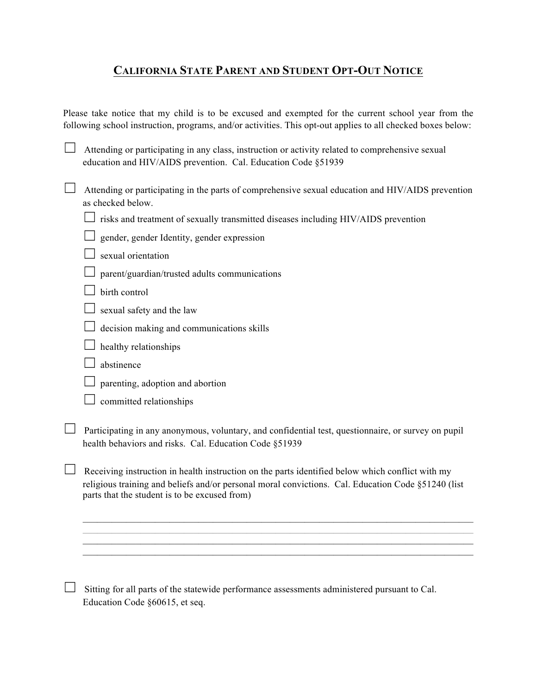## **CALIFORNIA STATE PARENT AND STUDENT OPT-OUT NOTICE**

Please take notice that my child is to be excused and exempted for the current school year from the following school instruction, programs, and/or activities. This opt-out applies to all checked boxes below:

 $\Box$  Attending or participating in any class, instruction or activity related to comprehensive sexual education and HIV/AIDS prevention. Cal. Education Code §51939

☐ Attending or participating in the parts of comprehensive sexual education and HIV/AIDS prevention as checked below.

 $\Box$  risks and treatment of sexually transmitted diseases including HIV/AIDS prevention

|  |  | $\Box$ gender, gender Identity, gender expression |
|--|--|---------------------------------------------------|

 $\Box$  sexual orientation

- $\Box$  parent/guardian/trusted adults communications
- $\Box$  birth control
- $\Box$  sexual safety and the law
- $\Box$  decision making and communications skills
- $\Box$  healthy relationships
- $\Box$  abstinence
- $\Box$  parenting, adoption and abortion
- $\Box$  committed relationships

□ Participating in any anonymous, voluntary, and confidential test, questionnaire, or survey on pupil health behaviors and risks. Cal. Education Code §51939

Receiving instruction in health instruction on the parts identified below which conflict with my religious training and beliefs and/or personal moral convictions. Cal. Education Code §51240 (list parts that the student is to be excused from)

 $\mathcal{L}_\text{max} = \mathcal{L}_\text{max} = \mathcal{L}_\text{max} = \mathcal{L}_\text{max} = \mathcal{L}_\text{max} = \mathcal{L}_\text{max} = \mathcal{L}_\text{max} = \mathcal{L}_\text{max} = \mathcal{L}_\text{max} = \mathcal{L}_\text{max} = \mathcal{L}_\text{max} = \mathcal{L}_\text{max} = \mathcal{L}_\text{max} = \mathcal{L}_\text{max} = \mathcal{L}_\text{max} = \mathcal{L}_\text{max} = \mathcal{L}_\text{max} = \mathcal{L}_\text{max} = \mathcal{$  $\mathcal{L}_\text{max} = \mathcal{L}_\text{max} = \mathcal{L}_\text{max} = \mathcal{L}_\text{max} = \mathcal{L}_\text{max} = \mathcal{L}_\text{max} = \mathcal{L}_\text{max} = \mathcal{L}_\text{max} = \mathcal{L}_\text{max} = \mathcal{L}_\text{max} = \mathcal{L}_\text{max} = \mathcal{L}_\text{max} = \mathcal{L}_\text{max} = \mathcal{L}_\text{max} = \mathcal{L}_\text{max} = \mathcal{L}_\text{max} = \mathcal{L}_\text{max} = \mathcal{L}_\text{max} = \mathcal{$ 

 $\Box$  Sitting for all parts of the statewide performance assessments administered pursuant to Cal. Education Code §60615, et seq.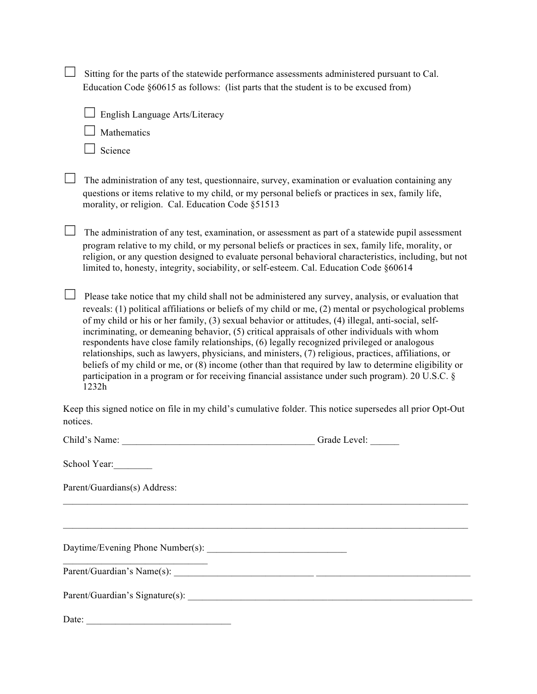|          | Sitting for the parts of the statewide performance assessments administered pursuant to Cal.<br>Education Code $§60615$ as follows: (list parts that the student is to be excused from)                                                                                                                                                                                                                                                                                                                                                                                                                                                                                                                                                                                                                                                             |  |  |  |  |
|----------|-----------------------------------------------------------------------------------------------------------------------------------------------------------------------------------------------------------------------------------------------------------------------------------------------------------------------------------------------------------------------------------------------------------------------------------------------------------------------------------------------------------------------------------------------------------------------------------------------------------------------------------------------------------------------------------------------------------------------------------------------------------------------------------------------------------------------------------------------------|--|--|--|--|
|          | English Language Arts/Literacy                                                                                                                                                                                                                                                                                                                                                                                                                                                                                                                                                                                                                                                                                                                                                                                                                      |  |  |  |  |
|          | Mathematics                                                                                                                                                                                                                                                                                                                                                                                                                                                                                                                                                                                                                                                                                                                                                                                                                                         |  |  |  |  |
|          | Science                                                                                                                                                                                                                                                                                                                                                                                                                                                                                                                                                                                                                                                                                                                                                                                                                                             |  |  |  |  |
|          | The administration of any test, questionnaire, survey, examination or evaluation containing any<br>questions or items relative to my child, or my personal beliefs or practices in sex, family life,<br>morality, or religion. Cal. Education Code §51513                                                                                                                                                                                                                                                                                                                                                                                                                                                                                                                                                                                           |  |  |  |  |
|          | The administration of any test, examination, or assessment as part of a statewide pupil assessment<br>program relative to my child, or my personal beliefs or practices in sex, family life, morality, or<br>religion, or any question designed to evaluate personal behavioral characteristics, including, but not<br>limited to, honesty, integrity, sociability, or self-esteem. Cal. Education Code §60614                                                                                                                                                                                                                                                                                                                                                                                                                                      |  |  |  |  |
|          | Please take notice that my child shall not be administered any survey, analysis, or evaluation that<br>reveals: (1) political affiliations or beliefs of my child or me, (2) mental or psychological problems<br>of my child or his or her family, (3) sexual behavior or attitudes, (4) illegal, anti-social, self-<br>incriminating, or demeaning behavior, (5) critical appraisals of other individuals with whom<br>respondents have close family relationships, (6) legally recognized privileged or analogous<br>relationships, such as lawyers, physicians, and ministers, (7) religious, practices, affiliations, or<br>beliefs of my child or me, or (8) income (other than that required by law to determine eligibility or<br>participation in a program or for receiving financial assistance under such program). 20 U.S.C. §<br>1232h |  |  |  |  |
| notices. | Keep this signed notice on file in my child's cumulative folder. This notice supersedes all prior Opt-Out                                                                                                                                                                                                                                                                                                                                                                                                                                                                                                                                                                                                                                                                                                                                           |  |  |  |  |
|          | Grade Level:<br>Child's Name:                                                                                                                                                                                                                                                                                                                                                                                                                                                                                                                                                                                                                                                                                                                                                                                                                       |  |  |  |  |
|          | School Year:                                                                                                                                                                                                                                                                                                                                                                                                                                                                                                                                                                                                                                                                                                                                                                                                                                        |  |  |  |  |
|          | Parent/Guardians(s) Address:                                                                                                                                                                                                                                                                                                                                                                                                                                                                                                                                                                                                                                                                                                                                                                                                                        |  |  |  |  |
|          | ,我们也不会有一个人的事情。""我们的人们是不是我们的人,我们也不会有一个人的人,我们也不会有一个人的人,我们也不会有一个人的人,我们也不会有一个人的人,我们也                                                                                                                                                                                                                                                                                                                                                                                                                                                                                                                                                                                                                                                                                                                                                                    |  |  |  |  |
|          |                                                                                                                                                                                                                                                                                                                                                                                                                                                                                                                                                                                                                                                                                                                                                                                                                                                     |  |  |  |  |
|          |                                                                                                                                                                                                                                                                                                                                                                                                                                                                                                                                                                                                                                                                                                                                                                                                                                                     |  |  |  |  |
|          |                                                                                                                                                                                                                                                                                                                                                                                                                                                                                                                                                                                                                                                                                                                                                                                                                                                     |  |  |  |  |